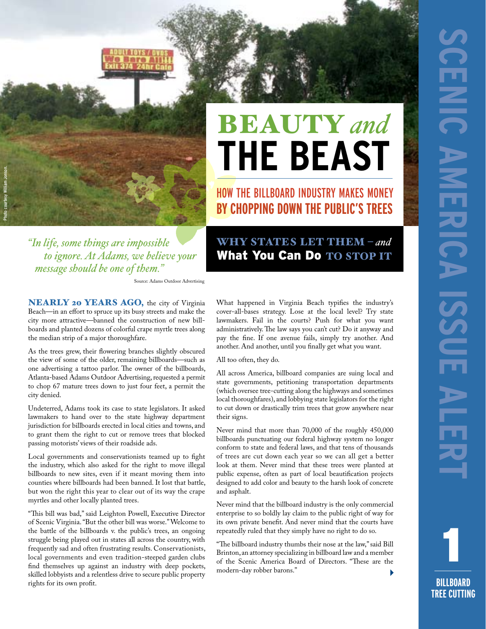

## **BEAUTY** and **the Beast**

How the Billboard Industry Makes Money **By Chopping Down the Public's Trees** 

Why States Let Them – *and* What You Can Do TO STOP IT

*"In life, some things are impossible to ignore. At Adams, we believe your message should be one of them."*

Source: Adams Outdoor Advertising

NEARLY 20 YEARS AGO, the city of Virginia Beach—in an effort to spruce up its busy streets and make the city more attractive—banned the construction of new billboards and planted dozens of colorful crape myrtle trees along the median strip of a major thoroughfare.

As the trees grew, their flowering branches slightly obscured the view of some of the older, remaining billboards—such as one advertising a tattoo parlor. The owner of the billboards, Atlanta-based Adams Outdoor Advertising, requested a permit to chop 67 mature trees down to just four feet, a permit the city denied.

Undeterred, Adams took its case to state legislators. It asked lawmakers to hand over to the state highway department jurisdiction for billboards erected in local cities and towns, and to grant them the right to cut or remove trees that blocked passing motorists' views of their roadside ads.

Local governments and conservationists teamed up to fight the industry, which also asked for the right to move illegal billboards to new sites, even if it meant moving them into counties where billboards had been banned. It lost that battle, but won the right this year to clear out of its way the crape myrtles and other locally planted trees.

"This bill was bad," said Leighton Powell, Executive Director of Scenic Virginia. "But the other bill was worse." Welcome to the battle of the billboards v. the public's trees, an ongoing struggle being played out in states all across the country, with frequently sad and often frustrating results. Conservationists, local governments and even tradition-steeped garden clubs find themselves up against an industry with deep pockets, skilled lobbyists and a relentless drive to secure public property rights for its own profit.

What happened in Virginia Beach typifies the industry's cover-all-bases strategy. Lose at the local level? Try state lawmakers. Fail in the courts? Push for what you want administratively. The law says you can't cut? Do it anyway and pay the fine. If one avenue fails, simply try another. And another. And another, until you finally get what you want.

All too often, they do.

All across America, billboard companies are suing local and state governments, petitioning transportation departments (which oversee tree-cutting along the highways and sometimes local thoroughfares), and lobbying state legislators for the right to cut down or drastically trim trees that grow anywhere near their signs.

Never mind that more than 70,000 of the roughly 450,000 billboards punctuating our federal highway system no longer conform to state and federal laws, and that tens of thousands of trees are cut down each year so we can all get a better look at them. Never mind that these trees were planted at public expense, often as part of local beautification projects designed to add color and beauty to the harsh look of concrete and asphalt.

Never mind that the billboard industry is the only commercial enterprise to so boldly lay claim to the public right of way for its own private benefit. And never mind that the courts have repeatedly ruled that they simply have no right to do so.

"The billboard industry thumbs their nose at the law," said Bill Brinton, an attorney specializing in billboard law and a member of the Scenic America Board of Directors. "These are the modern-day robber barons."

1 **BILLBOARD TREE CUTTING**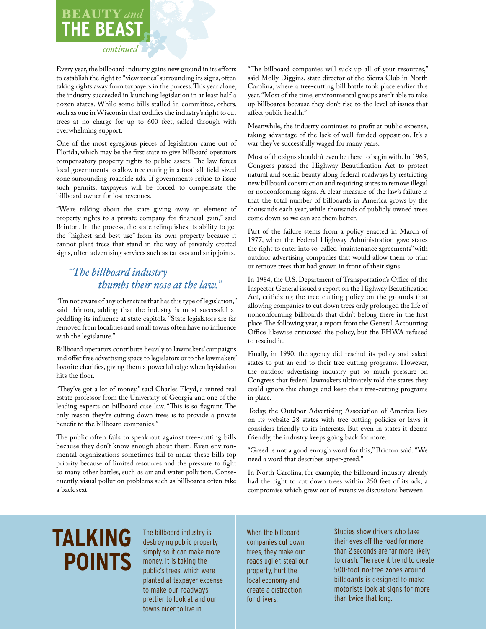### BEAUTY and **the Beast**

#### *continued*

Every year, the billboard industry gains new ground in its efforts to establish the right to "view zones" surrounding its signs, often taking rights away from taxpayers in the process. This year alone, the industry succeeded in launching legislation in at least half a dozen states. While some bills stalled in committee, others, such as one in Wisconsin that codifies the industry's right to cut trees at no charge for up to 600 feet, sailed through with overwhelming support.

One of the most egregious pieces of legislation came out of Florida, which may be the first state to give billboard operators compensatory property rights to public assets. The law forces local governments to allow tree cutting in a football-field-sized zone surrounding roadside ads. If governments refuse to issue such permits, taxpayers will be forced to compensate the billboard owner for lost revenues.

"We're talking about the state giving away an element of property rights to a private company for financial gain," said Brinton. In the process, the state relinquishes its ability to get the "highest and best use" from its own property because it cannot plant trees that stand in the way of privately erected signs, often advertising services such as tattoos and strip joints.

#### *"The billboard industry thumbs their nose at the law."*

"I'm not aware of any other state that has this type of legislation," said Brinton, adding that the industry is most successful at peddling its influence at state capitols. "State legislators are far removed from localities and small towns often have no influence with the legislature."

Billboard operators contribute heavily to lawmakers' campaigns and offer free advertising space to legislators or to the lawmakers' favorite charities, giving them a powerful edge when legislation hits the floor.

"They've got a lot of money," said Charles Floyd, a retired real estate professor from the University of Georgia and one of the leading experts on billboard case law. "This is so flagrant. The only reason they're cutting down trees is to provide a private benefit to the billboard companies."

The public often fails to speak out against tree-cutting bills because they don't know enough about them. Even environmental organizations sometimes fail to make these bills top priority because of limited resources and the pressure to fight so many other battles, such as air and water pollution. Consequently, visual pollution problems such as billboards often take a back seat.

"The billboard companies will suck up all of your resources," said Molly Diggins, state director of the Sierra Club in North Carolina, where a tree-cutting bill battle took place earlier this year. "Most of the time, environmental groups aren't able to take up billboards because they don't rise to the level of issues that affect public health."

Meanwhile, the industry continues to profit at public expense, taking advantage of the lack of well-funded opposition. It's a war they've successfully waged for many years.

Most of the signs shouldn't even be there to begin with. In 1965, Congress passed the Highway Beautification Act to protect natural and scenic beauty along federal roadways by restricting new billboard construction and requiring states to remove illegal or nonconforming signs. A clear measure of the law's failure is that the total number of billboards in America grows by the thousands each year, while thousands of publicly owned trees come down so we can see them better.

Part of the failure stems from a policy enacted in March of 1977, when the Federal Highway Administration gave states the right to enter into so-called "maintenance agreements" with outdoor advertising companies that would allow them to trim or remove trees that had grown in front of their signs.

In 1984, the U.S. Department of Transportation's Office of the Inspector General issued a report on the Highway Beautification Act, criticizing the tree-cutting policy on the grounds that allowing companies to cut down trees only prolonged the life of nonconforming billboards that didn't belong there in the first place. The following year, a report from the General Accounting Office likewise criticized the policy, but the FHWA refused to rescind it.

Finally, in 1990, the agency did rescind its policy and asked states to put an end to their tree-cutting programs. However, the outdoor advertising industry put so much pressure on Congress that federal lawmakers ultimately told the states they could ignore this change and keep their tree-cutting programs in place.

Today, the Outdoor Advertising Association of America lists on its website 28 states with tree-cutting policies or laws it considers friendly to its interests. But even in states it deems friendly, the industry keeps going back for more.

"Greed is not a good enough word for this," Brinton said. "We need a word that describes super-greed."

In North Carolina, for example, the billboard industry already had the right to cut down trees within 250 feet of its ads, a compromise which grew out of extensive discussions between

## **Talking Points**

The billboard industry is destroying public property simply so it can make more money. It is taking the public's trees, which were planted at taxpayer expense to make our roadways prettier to look at and our towns nicer to live in.

When the billboard companies cut down trees, they make our roads uglier, steal our property, hurt the local economy and create a distraction for drivers.

Studies show drivers who take their eyes off the road for more than 2 seconds are far more likely to crash. The recent trend to create 500-foot no-tree zones around billboards is designed to make motorists look at signs for more than twice that long.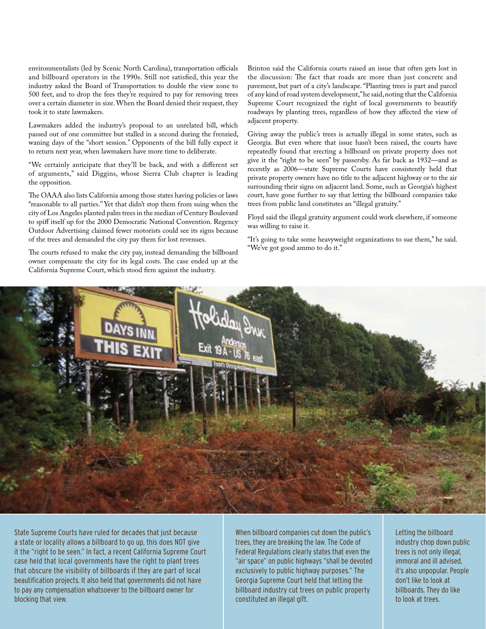environmentalists (led by Scenic North Carolina), transportation officials and billboard operators in the 1990s. Still not satisfied, this year the industry asked the Board of Transportation to double the view zone to 500 feet, and to drop the fees they're required to pay for removing trees over a certain diameter in size. When the Board denied their request, they took it to state lawmakers.

Lawmakers added the industry's proposal to an unrelated bill, which passed out of one committee but stalled in a second during the frenzied, waning days of the "short session." Opponents of the bill fully expect it to return next year, when lawmakers have more time to deliberate.

"We certainly anticipate that they'll be back, and with a different set of arguments," said Diggins, whose Sierra Club chapter is leading the opposition.

The OAAA also lists California among those states having policies or laws "reasonable to all parties." Yet that didn't stop them from suing when the city of Los Angeles planted palm trees in the median of Century Boulevard to spiff itself up for the 2000 Democratic National Convention. Regency Outdoor Advertising claimed fewer motorists could see its signs because of the trees and demanded the city pay them for lost revenues.

The courts refused to make the city pay, instead demanding the billboard owner compensate the city for its legal costs. The case ended up at the California Supreme Court, which stood firm against the industry.

Brinton said the California courts raised an issue that often gets lost in the discussion: The fact that roads are more than just concrete and pavement, but part of a city's landscape. "Planting trees is part and parcel of any kind of road system development," he said, noting that the California Supreme Court recognized the right of local governments to beautify roadways by planting trees, regardless of how they affected the view of adjacent property.

Giving away the public's trees is actually illegal in some states, such as Georgia. But even where that issue hasn't been raised, the courts have repeatedly found that erecting a billboard on private property does not give it the "right to be seen" by passersby. As far back as 1932—and as recently as 2006—state Supreme Courts have consistently held that private property owners have no title to the adjacent highway or to the air surrounding their signs on adjacent land. Some, such as Georgia's highest court, have gone further to say that letting the billboard companies take trees from public land constitutes an "illegal gratuity."

Floyd said the illegal gratuity argument could work elsewhere, if someone was willing to raise it.

"It's going to take some heavyweight organizations to sue them," he said. "We've got good ammo to do it."



State Supreme Courts have ruled for decades that just because a state or locality allows a billboard to go up, this does NOT give it the "right to be seen." In fact, a recent California Supreme Court case held that local governments have the right to plant trees that obscure the visibility of billboards if they are part of local beautification projects. It also held that governments did not have to pay any compensation whatsoever to the billboard owner for blocking that view.

When billboard companies cut down the public's trees, they are breaking the law. The Code of Federal Regulations clearly states that even the "air space" on public highways "shall be devoted exclusively to public highway purposes." The Georgia Supreme Court held that letting the billboard industry cut trees on public property constituted an illegal gift.

Letting the billboard industry chop down public trees is not only illegal, immoral and ill advised, it's also unpopular. People don't like to look at billboards. They do like to look at trees.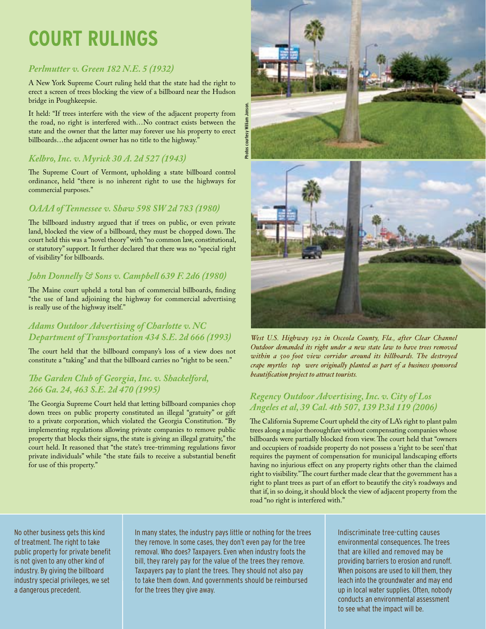## **Court Rulings**

#### *Perlmutter v. Green 182 N.E. 5 (1932)*

A New York Supreme Court ruling held that the state had the right to erect a screen of trees blocking the view of a billboard near the Hudson bridge in Poughkeepsie.

It held: "If trees interfere with the view of the adjacent property from the road, no right is interfered with…No contract exists between the state and the owner that the latter may forever use his property to erect billboards…the adjacent owner has no title to the highway."

#### *Kelbro, Inc. v. Myrick 30 A. 2d 527 (1943)*

The Supreme Court of Vermont, upholding a state billboard control ordinance, held "there is no inherent right to use the highways for commercial purposes."

#### *OAAA of Tennessee v. Shaw 598 SW 2d 783 (1980)*

The billboard industry argued that if trees on public, or even private land, blocked the view of a billboard, they must be chopped down. The court held this was a "novel theory" with "no common law, constitutional, or statutory" support. It further declared that there was no "special right of visibility" for billboards.

#### *John Donnelly & Sons v. Campbell 639 F. 2d6 (1980)*

The Maine court upheld a total ban of commercial billboards, finding "the use of land adjoining the highway for commercial advertising is really use of the highway itself."

#### *Adams Outdoor Advertising of Charlotte v. NC Department of Transportation 434 S.E. 2d 666 (1993)*

The court held that the billboard company's loss of a view does not constitute a "taking" and that the billboard carries no "right to be seen."

#### *The Garden Club of Georgia, Inc. v. Shackelford, 266 Ga. 24, 463 S.E. 2d 470 (1995)*

The Georgia Supreme Court held that letting billboard companies chop down trees on public property constituted an illegal "gratuity" or gift to a private corporation, which violated the Georgia Constitution. "By implementing regulations allowing private companies to remove public property that blocks their signs, the state is giving an illegal gratuity," the court held. It reasoned that "the state's tree-trimming regulations favor private individuals" while "the state fails to receive a substantial benefit for use of this property."





*West U.S. Highway 192 in Osceola County, Fla., after Clear Channel Outdoor demanded its right under a new state law to have trees removed within a 500-foot view corridor around its billboards. The destroyed crape myrtles (top) were originally planted as part of a business-sponsored beautification project to attract tourists.*

#### *Regency Outdoor Advertising, Inc. v. City of Los Angeles et al, 39 Cal. 4th 507, 139 P.3d 119 (2006)*

The California Supreme Court upheld the city of LA's right to plant palm trees along a major thoroughfare without compensating companies whose billboards were partially blocked from view. The court held that "owners and occupiers of roadside property do not possess a 'right to be seen' that requires the payment of compensation for municipal landscaping efforts having no injurious effect on any property rights other than the claimed right to visibility." The court further made clear that the government has a right to plant trees as part of an effort to beautify the city's roadways and that if, in so doing, it should block the view of adjacent property from the road "no right is interfered with."

No other business gets this kind of treatment. The right to take public property for private benefit is not given to any other kind of industry. By giving the billboard industry special privileges, we set a dangerous precedent.

In many states, the industry pays little or nothing for the trees they remove. In some cases, they don't even pay for the tree removal. Who does? Taxpayers. Even when industry foots the bill, they rarely pay for the value of the trees they remove. Taxpayers pay to plant the trees. They should not also pay to take them down. And governments should be reimbursed for the trees they give away.

Indiscriminate tree-cutting causes environmental consequences. The trees that are killed and removed may be providing barriers to erosion and runoff. When poisons are used to kill them, they leach into the groundwater and may end up in local water supplies. Often, nobody conducts an environmental assessment to see what the impact will be.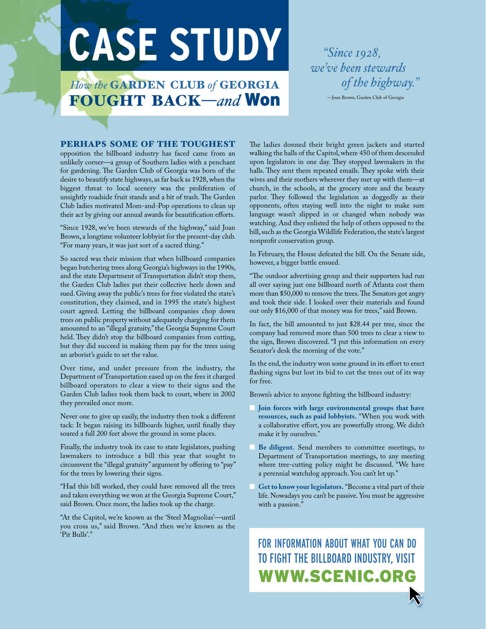# **case study** *"Since 1928,*

**How the GARDEN CLUB of GEORGIA** fought back—*and* Won *we've been stewards of the highway."*

—Joan Brown, Garden Club of Georgia

#### Perhaps some of the toughest

opposition the billboard industry has faced came from an unlikely corner—a group of Southern ladies with a penchant for gardening. The Garden Club of Georgia was born of the desire to beautify state highways, as far back as 1928, when the biggest threat to local scenery was the proliferation of unsightly roadside fruit stands and a bit of trash. The Garden Club ladies motivated Mom-and-Pop operations to clean up their act by giving out annual awards for beautification efforts.

"Since 1928, we've been stewards of the highway," said Joan Brown, a longtime volunteer lobbyist for the present-day club. "For many years, it was just sort of a sacred thing."

So sacred was their mission that when billboard companies began butchering trees along Georgia's highways in the 1990s, and the state Department of Transportation didn't stop them, the Garden Club ladies put their collective heels down and sued. Giving away the public's trees for free violated the state's constitution, they claimed, and in 1995 the state's highest court agreed. Letting the billboard companies chop down trees on public property without adequately charging for them amounted to an "illegal gratuity," the Georgia Supreme Court held. They didn't stop the billboard companies from cutting, but they did succeed in making them pay for the trees using an arborist's guide to set the value.

Over time, and under pressure from the industry, the Department of Transportation eased up on the fees it charged billboard operators to clear a view to their signs and the Garden Club ladies took them back to court, where in 2002 they prevailed once more.

Never one to give up easily, the industry then took a different tack: It began raising its billboards higher, until finally they soared a full 200 feet above the ground in some places.

Finally, the industry took its case to state legislators, pushing lawmakers to introduce a bill this year that sought to circumvent the "illegal gratuity" argument by offering to "pay" for the trees by lowering their signs.

"Had this bill worked, they could have removed all the trees and taken everything we won at the Georgia Supreme Court," said Brown. Once more, the ladies took up the charge.

"At the Capitol, we're known as the 'Steel Magnolias'—until you cross us," said Brown. "And then we're known as the 'Pit Bulls'."

The ladies donned their bright green jackets and started walking the halls of the Capitol, where 450 of them descended upon legislators in one day. They stopped lawmakers in the halls. They sent them repeated emails. They spoke with their wives and their mothers wherever they met up with them—at church, in the schools, at the grocery store and the beauty parlor. They followed the legislation as doggedly as their opponents, often staying well into the night to make sure language wasn't slipped in or changed when nobody was watching. And they enlisted the help of others opposed to the bill, such as the Georgia Wildlife Federation, the state's largest nonprofit conservation group.

In February, the House defeated the bill. On the Senate side, however, a bigger battle ensued.

"The outdoor advertising group and their supporters had run all over saying just one billboard north of Atlanta cost them more than \$50,000 to remove the trees. The Senators got angry and took their side. I looked over their materials and found out only \$16,000 of that money was for trees," said Brown.

In fact, the bill amounted to just \$28.44 per tree, since the company had removed more than 500 trees to clear a view to the sign, Brown discovered. "I put this information on every Senator's desk the morning of the vote."

In the end, the industry won some ground in its effort to erect flashing signs but lost its bid to cut the trees out of its way for free.

Brown's advice to anyone fighting the billboard industry:

- **n** Join forces with large environmental groups that have **resources, such as paid lobbyists.** "When you work with a collaborative effort, you are powerfully strong. We didn't make it by ourselves."
- Be diligent. Send members to committee meetings, to Department of Transportation meetings, to any meeting where tree-cutting policy might be discussed. "We have a perennial watchdog approach. You can't let up."
- Get to know your legislators. "Become a vital part of their life. Nowadays you can't be passive. You must be aggressive with a passion."

For information about what you can do to fight the billboard industry, visit www.scenic.org